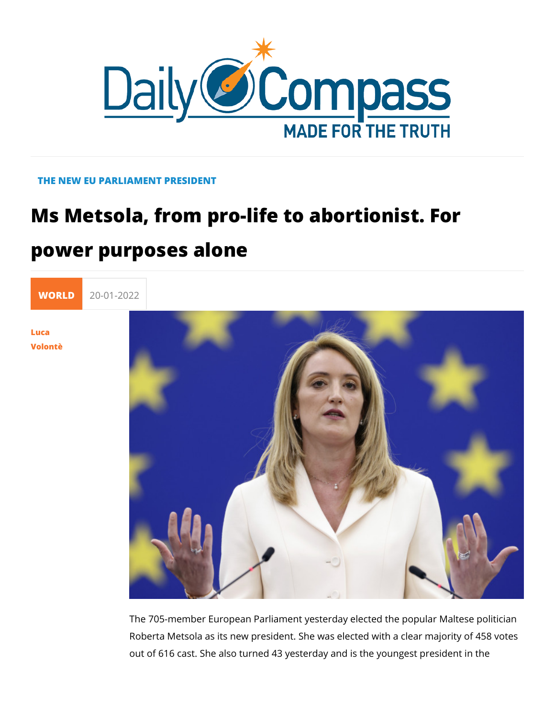## THE NEW EU PARLIAMENT PRESIDENT

## Ms Metsola, from pro-life to abortionis

## power purposes alone

[WORL](https://newdailycompass.com/en/world)I 20-01-2022

[Luc](/en/luca-volonte-1)a [Volon](/en/luca-volonte-1)tè

> The 705-member European Parliament yesterday elected the po Roberta Metsola as its new president. She was elected with a out of 616 cast. She also turned 43 yesterday and is the young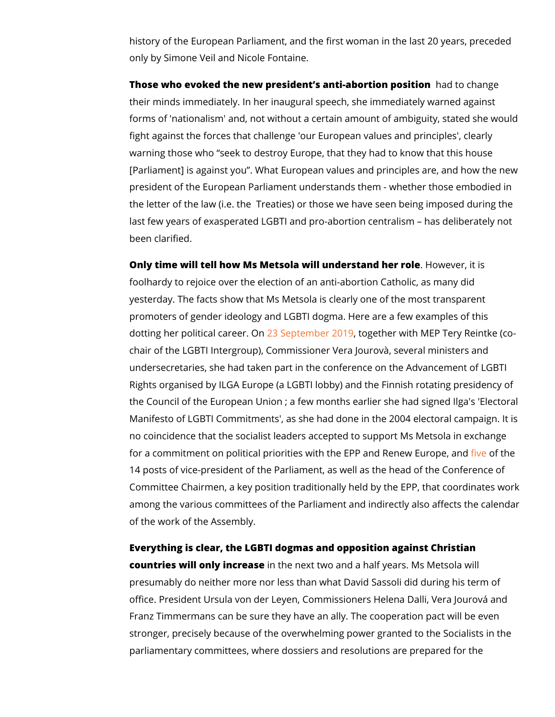history of the European Parliament, and the first woman in the only by Simone Veil and Nicole Fontaine.

Those who evoked the new president s anti-abbation positiquen their minds immediately. In her inaugural speech, she immedia forms of 'nationalism' and, not without a certain amount of am fight against the forces that challenge 'our European values a warning those who seek to destroy Europe, that they had to k [Parliament] is against you . What European values and princip president of the European Parliament understands them - whet the letter of the law (i.e. the Treaties) or those we have seen last few years of exasperated LGBTI and pro-abortion centralis been clarified.

Only time will tell how Ms Metsola will underhstbawned hen ritoilse foolhardy to rejoice over the election of an anti-abortion Cath yesterday. The facts show that Ms Metsola is clearly one of th promoters of gender ideology and LGBTI dogma. Here are a few dotting her political  $\frac{2}{3}$   $\frac{2}{3}$   $\frac{2}{3}$   $\frac{2}{3}$   $\frac{2}{3}$   $\frac{2}{3}$   $\frac{2}{3}$   $\frac{2}{3}$   $\frac{2}{3}$   $\frac{2}{3}$   $\frac{2}{3}$   $\frac{2}{3}$   $\frac{2}{3}$   $\frac{2}{3}$   $\frac{2}{3}$   $\frac{2}{3}$   $\frac{2}{3}$   $\frac{2}{3}$   $\frac{2}{3}$   $\frac{2}{3}$  chair of the LGBTI Intergroup), Commissioner Vera Jourovà, se undersecretaries, she had taken part in the conference on the Rights organised by ILGA Europe (a LGBTI lobby) and the Finn the Council of the European Union ; a few months earlier she  $\vert$ Manifesto of LGBTI Commitments', as she had done in the 200. no coincidence that the socialist leaders accepted to support I for a commitment on political priorities with the E[PP](https://www.euronews.com/2022/01/18/anti-abortion-mep-roberta-metsola-favourite-for-european-parliament-presidency) end helene 14 posts of vice-president of the Parliament, as well as the he Committee Chairmen, a key position traditionally held by the E among the various committees of the Parliament and indirectly of the work of the Assembly.

Everything is clearGBtToblogmas and opposition against Christian countries will only inionretheenext two and a half years. Ms Mets presumably do neither more nor less than what David Sassoli d office. President Ursula von der Leyen, Commissioners Helena Franz Timmermans can be sure they have an ally. The coopera stronger, precisely because of the overwhelming power granted parliamentary committees, where dossiers and resolutions are